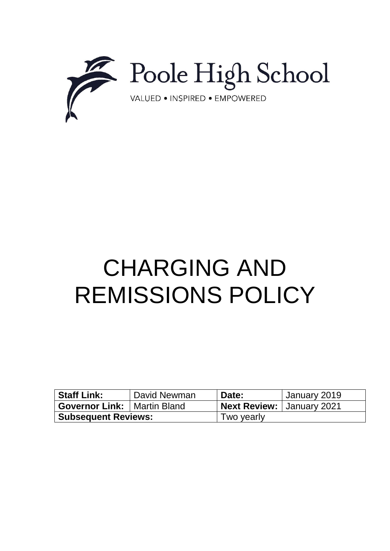

# CHARGING AND REMISSIONS POLICY

| <b>Staff Link:</b>                   | David Newman | Date:                       | January 2019 |
|--------------------------------------|--------------|-----------------------------|--------------|
| <b>Governor Link:   Martin Bland</b> |              | Next Review:   January 2021 |              |
| <b>Subsequent Reviews:</b>           |              | Two yearly                  |              |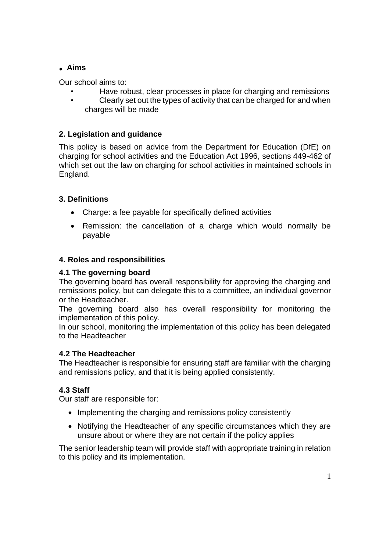## **. Aims**

Our school aims to:

- Have robust, clear processes in place for charging and remissions
- Clearly set out the types of activity that can be charged for and when charges will be made

# **2. Legislation and guidance**

This policy is based on advice from the Department for Education (DfE) on [charging for school activities](https://www.gov.uk/government/publications/charging-for-school-activities) and [the Education Act 1996,](http://www.legislation.gov.uk/ukpga/1996/56/part/VI/chapter/III) sections 449-462 of which set out the law on charging for school activities in maintained schools in England.

## **3. Definitions**

- Charge: a fee payable for specifically defined activities
- Remission: the cancellation of a charge which would normally be payable

## **4. Roles and responsibilities**

## **4.1 The governing board**

The governing board has overall responsibility for approving the charging and remissions policy, but can delegate this to a committee, an individual governor or the Headteacher.

The governing board also has overall responsibility for monitoring the implementation of this policy.

In our school, monitoring the implementation of this policy has been delegated to the Headteacher

## **4.2 The Headteacher**

The Headteacher is responsible for ensuring staff are familiar with the charging and remissions policy, and that it is being applied consistently.

# **4.3 Staff**

Our staff are responsible for:

- Implementing the charging and remissions policy consistently
- Notifying the Headteacher of any specific circumstances which they are unsure about or where they are not certain if the policy applies

The senior leadership team will provide staff with appropriate training in relation to this policy and its implementation.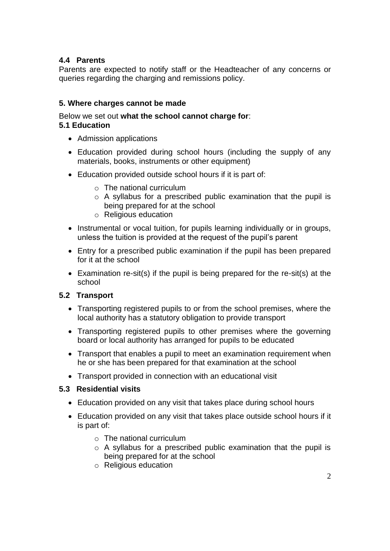## **4.4 Parents**

Parents are expected to notify staff or the Headteacher of any concerns or queries regarding the charging and remissions policy.

## **5. Where charges cannot be made**

#### Below we set out **what the school cannot charge for**:

#### **5.1 Education**

- Admission applications
- Education provided during school hours (including the supply of any materials, books, instruments or other equipment)
- Education provided outside school hours if it is part of:
	- $\circ$  The national curriculum
	- o A syllabus for a prescribed public examination that the pupil is being prepared for at the school
	- o Religious education
- Instrumental or vocal tuition, for pupils learning individually or in groups, unless the tuition is provided at the request of the pupil's parent
- Entry for a prescribed public examination if the pupil has been prepared for it at the school
- Examination re-sit(s) if the pupil is being prepared for the re-sit(s) at the school

#### **5.2 Transport**

- Transporting registered pupils to or from the school premises, where the local authority has a statutory obligation to provide transport
- Transporting registered pupils to other premises where the governing board or local authority has arranged for pupils to be educated
- Transport that enables a pupil to meet an examination requirement when he or she has been prepared for that examination at the school
- Transport provided in connection with an educational visit

#### **5.3 Residential visits**

- Education provided on any visit that takes place during school hours
- Education provided on any visit that takes place outside school hours if it is part of:
	- o The national curriculum
	- o A syllabus for a prescribed public examination that the pupil is being prepared for at the school
	- o Religious education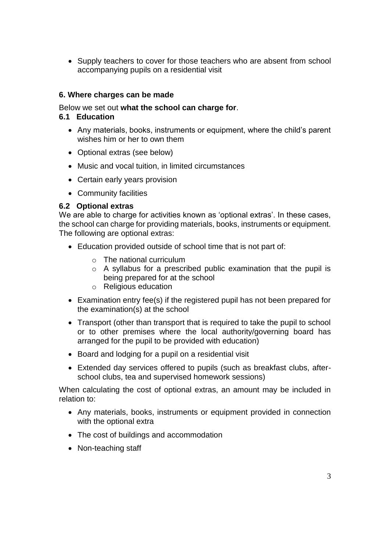• Supply teachers to cover for those teachers who are absent from school accompanying pupils on a residential visit

#### **6. Where charges can be made**

Below we set out **what the school can charge for**.

#### **6.1 Education**

- Any materials, books, instruments or equipment, where the child's parent wishes him or her to own them
- Optional extras (see below)
- Music and vocal tuition, in limited circumstances
- Certain early years provision
- Community facilities

#### **6.2 Optional extras**

We are able to charge for activities known as 'optional extras'. In these cases, the school can charge for providing materials, books, instruments or equipment. The following are optional extras:

- Education provided outside of school time that is not part of:
	- o The national curriculum
	- o A syllabus for a prescribed public examination that the pupil is being prepared for at the school
	- o Religious education
- Examination entry fee(s) if the registered pupil has not been prepared for the examination(s) at the school
- Transport (other than transport that is required to take the pupil to school or to other premises where the local authority/governing board has arranged for the pupil to be provided with education)
- Board and lodging for a pupil on a residential visit
- Extended day services offered to pupils (such as breakfast clubs, afterschool clubs, tea and supervised homework sessions)

When calculating the cost of optional extras, an amount may be included in relation to:

- Any materials, books, instruments or equipment provided in connection with the optional extra
- The cost of buildings and accommodation
- Non-teaching staff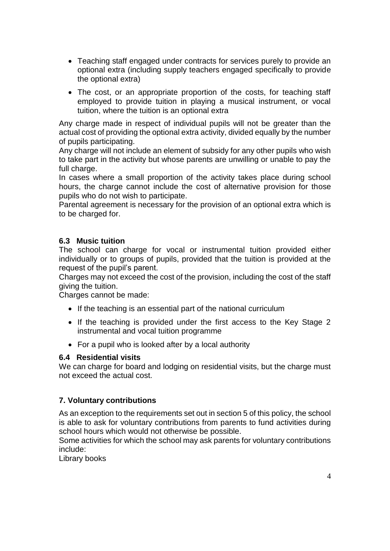- Teaching staff engaged under contracts for services purely to provide an optional extra (including supply teachers engaged specifically to provide the optional extra)
- The cost, or an appropriate proportion of the costs, for teaching staff employed to provide tuition in playing a musical instrument, or vocal tuition, where the tuition is an optional extra

Any charge made in respect of individual pupils will not be greater than the actual cost of providing the optional extra activity, divided equally by the number of pupils participating.

Any charge will not include an element of subsidy for any other pupils who wish to take part in the activity but whose parents are unwilling or unable to pay the full charge.

In cases where a small proportion of the activity takes place during school hours, the charge cannot include the cost of alternative provision for those pupils who do not wish to participate.

Parental agreement is necessary for the provision of an optional extra which is to be charged for.

## **6.3 Music tuition**

The school can charge for vocal or instrumental tuition provided either individually or to groups of pupils, provided that the tuition is provided at the request of the pupil's parent.

Charges may not exceed the cost of the provision, including the cost of the staff giving the tuition.

Charges cannot be made:

- If the teaching is an essential part of the national curriculum
- If the teaching is provided under the first access to the Key Stage 2 instrumental and vocal tuition programme
- For a pupil who is looked after by a local authority

#### **6.4 Residential visits**

We can charge for board and lodging on residential visits, but the charge must not exceed the actual cost.

#### **7. Voluntary contributions**

As an exception to the requirements set out in section 5 of this policy, the school is able to ask for voluntary contributions from parents to fund activities during school hours which would not otherwise be possible.

Some activities for which the school may ask parents for voluntary contributions include:

Library books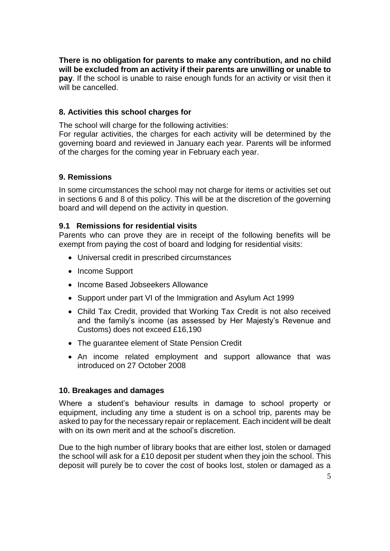**There is no obligation for parents to make any contribution, and no child will be excluded from an activity if their parents are unwilling or unable to pay**. If the school is unable to raise enough funds for an activity or visit then it will be cancelled.

#### **8. Activities this school charges for**

The school will charge for the following activities:

For regular activities, the charges for each activity will be determined by the governing board and reviewed in January each year. Parents will be informed of the charges for the coming year in February each year.

#### **9. Remissions**

In some circumstances the school may not charge for items or activities set out in sections 6 and 8 of this policy. This will be at the discretion of the governing board and will depend on the activity in question.

#### **9.1 Remissions for residential visits**

Parents who can prove they are in receipt of the following benefits will be exempt from paying the cost of board and lodging for residential visits:

- Universal credit in prescribed circumstances
- Income Support
- Income Based Jobseekers Allowance
- Support under part VI of the Immigration and Asylum Act 1999
- Child Tax Credit, provided that Working Tax Credit is not also received and the family's income (as assessed by Her Majesty's Revenue and Customs) does not exceed £16,190
- The quarantee element of State Pension Credit
- An income related employment and support allowance that was introduced on 27 October 2008

#### **10. Breakages and damages**

Where a student's behaviour results in damage to school property or equipment, including any time a student is on a school trip, parents may be asked to pay for the necessary repair or replacement. Each incident will be dealt with on its own merit and at the school's discretion.

Due to the high number of library books that are either lost, stolen or damaged the school will ask for a £10 deposit per student when they join the school. This deposit will purely be to cover the cost of books lost, stolen or damaged as a